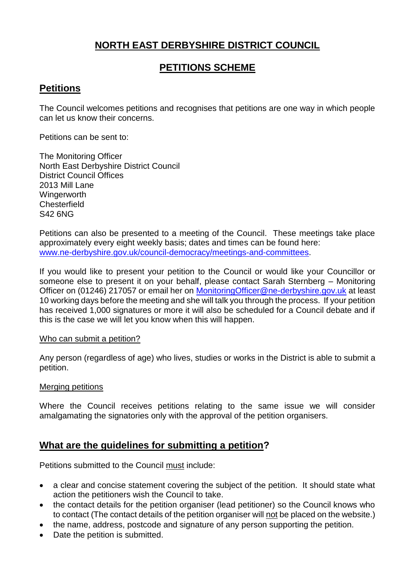# **NORTH EAST DERBYSHIRE DISTRICT COUNCIL**

# **PETITIONS SCHEME**

## **Petitions**

The Council welcomes petitions and recognises that petitions are one way in which people can let us know their concerns.

Petitions can be sent to:

The Monitoring Officer North East Derbyshire District Council District Council Offices 2013 Mill Lane **Wingerworth Chesterfield** S42 6NG

Petitions can also be presented to a meeting of the Council. These meetings take place approximately every eight weekly basis; dates and times can be found here: [www.ne-derbyshire.gov.uk/council-democracy/meetings-and-committees.](http://www.ne-derbyshire.gov.uk/council-democracy/meetings-and-committees)

If you would like to present your petition to the Council or would like your Councillor or someone else to present it on your behalf, please contact Sarah Sternberg – Monitoring Officer on (01246) 217057 or email her on [MonitoringOfficer@ne-derbyshire.gov.uk](mailto:MonitoringOfficer@ne-derbyshire.gov.uk) at least 10 working days before the meeting and she will talk you through the process. If your petition has received 1,000 signatures or more it will also be scheduled for a Council debate and if this is the case we will let you know when this will happen.

#### Who can submit a petition?

Any person (regardless of age) who lives, studies or works in the District is able to submit a petition.

#### Merging petitions

Where the Council receives petitions relating to the same issue we will consider amalgamating the signatories only with the approval of the petition organisers.

### **What are the guidelines for submitting a petition?**

Petitions submitted to the Council must include:

- a clear and concise statement covering the subject of the petition. It should state what action the petitioners wish the Council to take.
- the contact details for the petition organiser (lead petitioner) so the Council knows who to contact (The contact details of the petition organiser will not be placed on the website.)
- the name, address, postcode and signature of any person supporting the petition.
- Date the petition is submitted.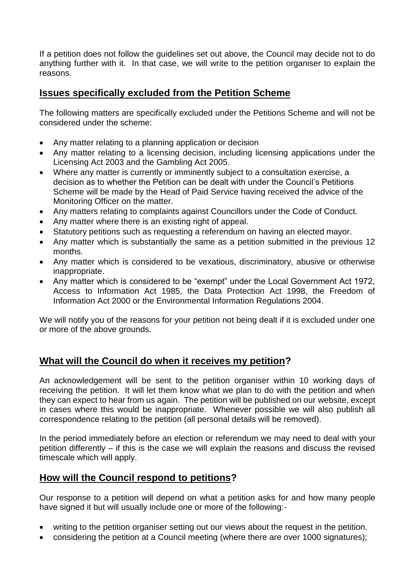If a petition does not follow the guidelines set out above, the Council may decide not to do anything further with it. In that case, we will write to the petition organiser to explain the reasons.

### **Issues specifically excluded from the Petition Scheme**

The following matters are specifically excluded under the Petitions Scheme and will not be considered under the scheme:

- Any matter relating to a planning application or decision
- Any matter relating to a licensing decision, including licensing applications under the Licensing Act 2003 and the Gambling Act 2005.
- Where any matter is currently or imminently subject to a consultation exercise, a decision as to whether the Petition can be dealt with under the Council's Petitions Scheme will be made by the Head of Paid Service having received the advice of the Monitoring Officer on the matter.
- Any matters relating to complaints against Councillors under the Code of Conduct.
- Any matter where there is an existing right of appeal.
- Statutory petitions such as requesting a referendum on having an elected mayor.
- Any matter which is substantially the same as a petition submitted in the previous 12 months.
- Any matter which is considered to be vexatious, discriminatory, abusive or otherwise inappropriate.
- Any matter which is considered to be "exempt" under the Local Government Act 1972, Access to Information Act 1985, the Data Protection Act 1998, the Freedom of Information Act 2000 or the Environmental Information Regulations 2004.

We will notify you of the reasons for your petition not being dealt if it is excluded under one or more of the above grounds.

#### **What will the Council do when it receives my petition?**

An acknowledgement will be sent to the petition organiser within 10 working days of receiving the petition. It will let them know what we plan to do with the petition and when they can expect to hear from us again. The petition will be published on our website, except in cases where this would be inappropriate. Whenever possible we will also publish all correspondence relating to the petition (all personal details will be removed).

In the period immediately before an election or referendum we may need to deal with your petition differently – if this is the case we will explain the reasons and discuss the revised timescale which will apply.

### **How will the Council respond to petitions?**

Our response to a petition will depend on what a petition asks for and how many people have signed it but will usually include one or more of the following:-

- writing to the petition organiser setting out our views about the request in the petition.
- considering the petition at a Council meeting (where there are over 1000 signatures);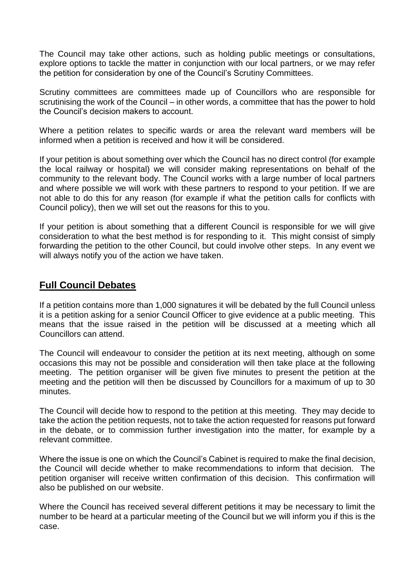The Council may take other actions, such as holding public meetings or consultations, explore options to tackle the matter in conjunction with our local partners, or we may refer the petition for consideration by one of the Council's Scrutiny Committees.

Scrutiny committees are committees made up of Councillors who are responsible for scrutinising the work of the Council – in other words, a committee that has the power to hold the Council's decision makers to account.

Where a petition relates to specific wards or area the relevant ward members will be informed when a petition is received and how it will be considered.

If your petition is about something over which the Council has no direct control (for example the local railway or hospital) we will consider making representations on behalf of the community to the relevant body. The Council works with a large number of local partners and where possible we will work with these partners to respond to your petition. If we are not able to do this for any reason (for example if what the petition calls for conflicts with Council policy), then we will set out the reasons for this to you.

If your petition is about something that a different Council is responsible for we will give consideration to what the best method is for responding to it. This might consist of simply forwarding the petition to the other Council, but could involve other steps. In any event we will always notify you of the action we have taken.

#### **Full Council Debates**

If a petition contains more than 1,000 signatures it will be debated by the full Council unless it is a petition asking for a senior Council Officer to give evidence at a public meeting. This means that the issue raised in the petition will be discussed at a meeting which all Councillors can attend.

The Council will endeavour to consider the petition at its next meeting, although on some occasions this may not be possible and consideration will then take place at the following meeting. The petition organiser will be given five minutes to present the petition at the meeting and the petition will then be discussed by Councillors for a maximum of up to 30 minutes.

The Council will decide how to respond to the petition at this meeting. They may decide to take the action the petition requests, not to take the action requested for reasons put forward in the debate, or to commission further investigation into the matter, for example by a relevant committee.

Where the issue is one on which the Council's Cabinet is required to make the final decision, the Council will decide whether to make recommendations to inform that decision. The petition organiser will receive written confirmation of this decision. This confirmation will also be published on our website.

Where the Council has received several different petitions it may be necessary to limit the number to be heard at a particular meeting of the Council but we will inform you if this is the case.